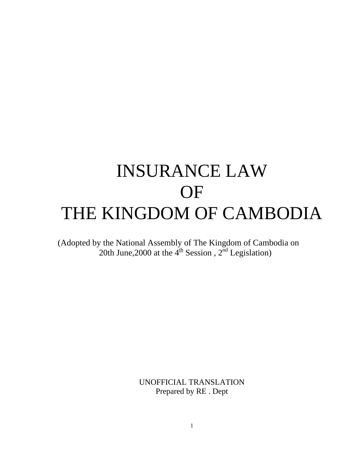# INSURANCE LAW OF THE KINGDOM OF CAMBODIA

(Adopted by the National Assembly of The Kingdom of Cambodia on 20th June, 2000 at the  $4^{th}$  Session,  $2^{nd}$  Legislation)

> UNOFFICIAL TRANSLATION Prepared by RE . Dept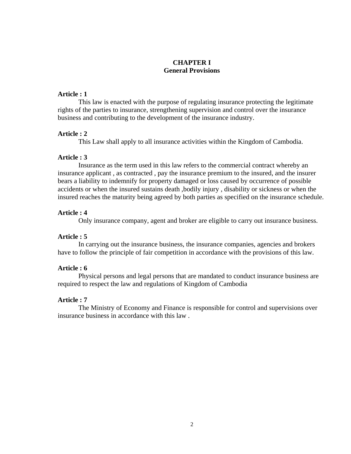# **CHAPTER I General Provisions**

# **Article : 1**

This law is enacted with the purpose of regulating insurance protecting the legitimate rights of the parties to insurance, strengthening supervision and control over the insurance business and contributing to the development of the insurance industry.

## **Article : 2**

This Law shall apply to all insurance activities within the Kingdom of Cambodia.

## **Article : 3**

Insurance as the term used in this law refers to the commercial contract whereby an insurance applicant , as contracted , pay the insurance premium to the insured, and the insurer bears a liability to indemnify for property damaged or loss caused by occurrence of possible accidents or when the insured sustains death ,bodily injury , disability or sickness or when the insured reaches the maturity being agreed by both parties as specified on the insurance schedule.

# **Article : 4**

Only insurance company, agent and broker are eligible to carry out insurance business.

# **Article : 5**

In carrying out the insurance business, the insurance companies, agencies and brokers have to follow the principle of fair competition in accordance with the provisions of this law.

# **Article : 6**

Physical persons and legal persons that are mandated to conduct insurance business are required to respect the law and regulations of Kingdom of Cambodia

# **Article : 7**

The Ministry of Economy and Finance is responsible for control and supervisions over insurance business in accordance with this law .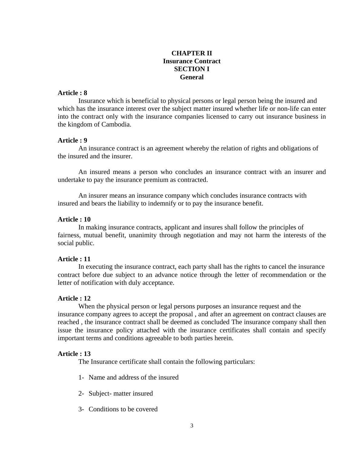# **CHAPTER II Insurance Contract SECTION I General**

## **Article : 8**

Insurance which is beneficial to physical persons or legal person being the insured and which has the insurance interest over the subject matter insured whether life or non-life can enter into the contract only with the insurance companies licensed to carry out insurance business in the kingdom of Cambodia.

#### **Article : 9**

An insurance contract is an agreement whereby the relation of rights and obligations of the insured and the insurer.

 An insured means a person who concludes an insurance contract with an insurer and undertake to pay the insurance premium as contracted.

An insurer means an insurance company which concludes insurance contracts with insured and bears the liability to indemnify or to pay the insurance benefit.

## **Article : 10**

In making insurance contracts, applicant and insures shall follow the principles of fairness, mutual benefit, unanimity through negotiation and may not harm the interests of the social public.

## **Article : 11**

In executing the insurance contract, each party shall has the rights to cancel the insurance contract before due subject to an advance notice through the letter of recommendation or the letter of notification with duly acceptance.

#### **Article : 12**

When the physical person or legal persons purposes an insurance request and the insurance company agrees to accept the proposal , and after an agreement on contract clauses are reached , the insurance contract shall be deemed as concluded The insurance company shall then issue the insurance policy attached with the insurance certificates shall contain and specify important terms and conditions agreeable to both parties herein.

## **Article : 13**

The Insurance certificate shall contain the following particulars:

- 1- Name and address of the insured
- 2- Subject- matter insured
- 3- Conditions to be covered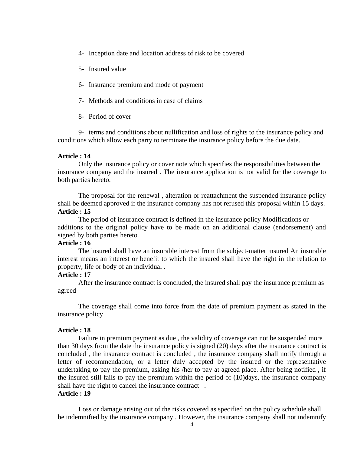- 4- Inception date and location address of risk to be covered
- 5- Insured value
- 6- Insurance premium and mode of payment
- 7- Methods and conditions in case of claims
- 8- Period of cover

9- terms and conditions about nullification and loss of rights to the insurance policy and conditions which allow each party to terminate the insurance policy before the due date.

#### **Article : 14**

Only the insurance policy or cover note which specifies the responsibilities between the insurance company and the insured . The insurance application is not valid for the coverage to both parties hereto.

 The proposal for the renewal , alteration or reattachment the suspended insurance policy shall be deemed approved if the insurance company has not refused this proposal within 15 days. **Article : 15**

The period of insurance contract is defined in the insurance policy Modifications or additions to the original policy have to be made on an additional clause (endorsement) and signed by both parties hereto.

# **Article : 16**

The insured shall have an insurable interest from the subject-matter insured An insurable interest means an interest or benefit to which the insured shall have the right in the relation to property, life or body of an individual .

# **Article : 17**

After the insurance contract is concluded, the insured shall pay the insurance premium as agreed

The coverage shall come into force from the date of premium payment as stated in the insurance policy.

#### **Article : 18**

Failure in premium payment as due , the validity of coverage can not be suspended more than 30 days from the date the insurance policy is signed (20) days after the insurance contract is concluded , the insurance contract is concluded , the insurance company shall notify through a letter of recommendation, or a letter duly accepted by the insured or the representative undertaking to pay the premium, asking his /her to pay at agreed place. After being notified , if the insured still fails to pay the premium within the period of (10)days, the insurance company shall have the right to cancel the insurance contract .

# **Article : 19**

Loss or damage arising out of the risks covered as specified on the policy schedule shall be indemnified by the insurance company . However, the insurance company shall not indemnify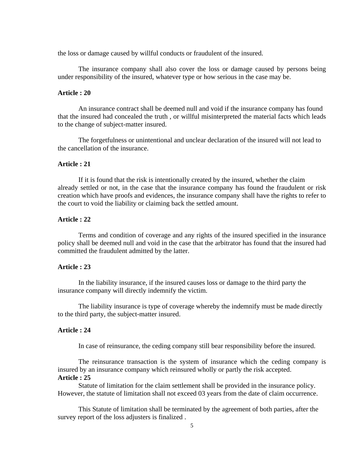the loss or damage caused by willful conducts or fraudulent of the insured.

The insurance company shall also cover the loss or damage caused by persons being under responsibility of the insured, whatever type or how serious in the case may be.

### **Article : 20**

An insurance contract shall be deemed null and void if the insurance company has found that the insured had concealed the truth , or willful misinterpreted the material facts which leads to the change of subject-matter insured.

The forgetfulness or unintentional and unclear declaration of the insured will not lead to the cancellation of the insurance.

# **Article : 21**

If it is found that the risk is intentionally created by the insured, whether the claim already settled or not, in the case that the insurance company has found the fraudulent or risk creation which have proofs and evidences, the insurance company shall have the rights to refer to the court to void the liability or claiming back the settled amount.

## **Article : 22**

 Terms and condition of coverage and any rights of the insured specified in the insurance policy shall be deemed null and void in the case that the arbitrator has found that the insured had committed the fraudulent admitted by the latter.

#### **Article : 23**

In the liability insurance, if the insured causes loss or damage to the third party the insurance company will directly indemnify the victim.

The liability insurance is type of coverage whereby the indemnify must be made directly to the third party, the subject-matter insured.

#### **Article : 24**

In case of reinsurance, the ceding company still bear responsibility before the insured.

The reinsurance transaction is the system of insurance which the ceding company is insured by an insurance company which reinsured wholly or partly the risk accepted. **Article : 25**

Statute of limitation for the claim settlement shall be provided in the insurance policy. However, the statute of limitation shall not exceed 03 years from the date of claim occurrence.

This Statute of limitation shall be terminated by the agreement of both parties, after the survey report of the loss adjusters is finalized .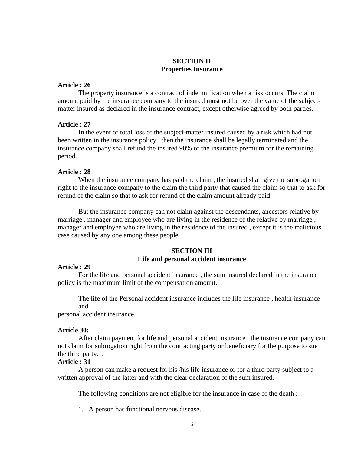# **SECTION II Properties Insurance**

## **Article : 26**

The property insurance is a contract of indemnification when a risk occurs. The claim amount paid by the insurance company to the insured must not be over the value of the subjectmatter insured as declared in the insurance contract, except otherwise agreed by both parties.

### **Article : 27**

In the event of total loss of the subject-matter insured caused by a risk which had not been written in the insurance policy , then the insurance shall be legally terminated and the insurance company shall refund the insured 90% of the insurance premium for the remaining period.

## **Article : 28**

When the insurance company has paid the claim, the insured shall give the subrogation right to the insurance company to the claim the third party that caused the claim so that to ask for refund of the claim so that to ask for refund of the claim amount already paid.

 But the insurance company can not claim against the descendants, ancestors relative by marriage, manager and employee who are living in the residence of the relative by marriage, manager and employee who are living in the residence of the insured , except it is the malicious case caused by any one among these people.

# **SECTION III Life and personal accident insurance**

## **Article : 29**

For the life and personal accident insurance , the sum insured declared in the insurance policy is the maximum limit of the compensation amount.

The life of the Personal accident insurance includes the life insurance , health insurance and

personal accident insurance.

#### **Article 30:**

After claim payment for life and personal accident insurance , the insurance company can not claim for subrogation right from the contracting party or beneficiary for the purpose to sue the third party. .

#### **Article : 31**

A person can make a request for his /his life insurance or for a third party subject to a written approval of the latter and with the clear declaration of the sum insured.

The following conditions are not eligible for the insurance in case of the death :

1. A person has functional nervous disease.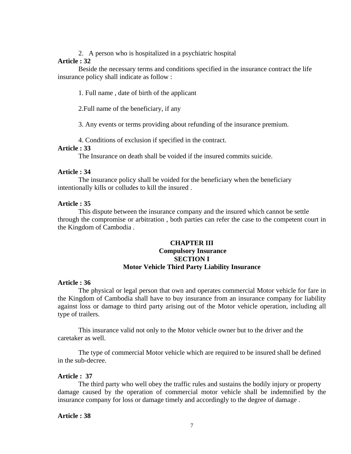2. A person who is hospitalized in a psychiatric hospital

#### **Article : 32**

Beside the necessary terms and conditions specified in the insurance contract the life insurance policy shall indicate as follow :

1. Full name , date of birth of the applicant

2.Full name of the beneficiary, if any

3. Any events or terms providing about refunding of the insurance premium.

4. Conditions of exclusion if specified in the contract.

# **Article : 33**

The Insurance on death shall be voided if the insured commits suicide.

## **Article : 34**

The insurance policy shall be voided for the beneficiary when the beneficiary intentionally kills or colludes to kill the insured .

#### **Article : 35**

This dispute between the insurance company and the insured which cannot be settle through the compromise or arbitration , both parties can refer the case to the competent court in the Kingdom of Cambodia .

# **CHAPTER III Compulsory Insurance SECTION I Motor Vehicle Third Party Liability Insurance**

## **Article : 36**

 The physical or legal person that own and operates commercial Motor vehicle for fare in the Kingdom of Cambodia shall have to buy insurance from an insurance company for liability against loss or damage to third party arising out of the Motor vehicle operation, including all type of trailers.

This insurance valid not only to the Motor vehicle owner but to the driver and the caretaker as well.

The type of commercial Motor vehicle which are required to be insured shall be defined in the sub-decree.

## **Article : 37**

The third party who well obey the traffic rules and sustains the bodily injury or property damage caused by the operation of commercial motor vehicle shall be indemnified by the insurance company for loss or damage timely and accordingly to the degree of damage .

## **Article : 38**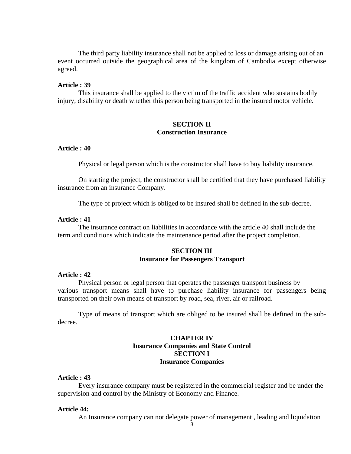The third party liability insurance shall not be applied to loss or damage arising out of an event occurred outside the geographical area of the kingdom of Cambodia except otherwise agreed.

## **Article : 39**

This insurance shall be applied to the victim of the traffic accident who sustains bodily injury, disability or death whether this person being transported in the insured motor vehicle.

## **SECTION II Construction Insurance**

## **Article : 40**

Physical or legal person which is the constructor shall have to buy liability insurance.

On starting the project, the constructor shall be certified that they have purchased liability insurance from an insurance Company.

The type of project which is obliged to be insured shall be defined in the sub-decree.

#### **Article : 41**

The insurance contract on liabilities in accordance with the article 40 shall include the term and conditions which indicate the maintenance period after the project completion.

# **SECTION III Insurance for Passengers Transport**

## **Article : 42**

Physical person or legal person that operates the passenger transport business by various transport means shall have to purchase liability insurance for passengers being transported on their own means of transport by road, sea, river, air or railroad.

 Type of means of transport which are obliged to be insured shall be defined in the subdecree.

# **CHAPTER IV Insurance Companies and State Control SECTION I Insurance Companies**

#### **Article : 43**

Every insurance company must be registered in the commercial register and be under the supervision and control by the Ministry of Economy and Finance.

#### **Article 44:**

An Insurance company can not delegate power of management , leading and liquidation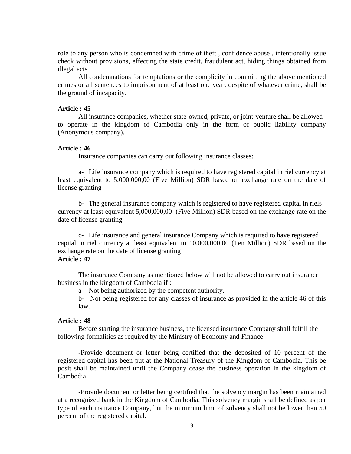role to any person who is condemned with crime of theft , confidence abuse , intentionally issue check without provisions, effecting the state credit, fraudulent act, hiding things obtained from illegal acts .

 All condemnations for temptations or the complicity in committing the above mentioned crimes or all sentences to imprisonment of at least one year, despite of whatever crime, shall be the ground of incapacity.

#### **Article : 45**

All insurance companies, whether state-owned, private, or joint-venture shall be allowed to operate in the kingdom of Cambodia only in the form of public liability company (Anonymous company).

#### **Article : 46**

Insurance companies can carry out following insurance classes:

a- Life insurance company which is required to have registered capital in riel currency at least equivalent to 5,000,000,00 (Five Million) SDR based on exchange rate on the date of license granting

b- The general insurance company which is registered to have registered capital in riels currency at least equivalent 5,000,000,00 (Five Million) SDR based on the exchange rate on the date of license granting.

c- Life insurance and general insurance Company which is required to have registered capital in riel currency at least equivalent to 10,000,000.00 (Ten Million) SDR based on the exchange rate on the date of license granting

# **Article : 47**

The insurance Company as mentioned below will not be allowed to carry out insurance business in the kingdom of Cambodia if :

a- Not being authorized by the competent authority.

b- Not being registered for any classes of insurance as provided in the article 46 of this law.

#### **Article : 48**

Before starting the insurance business, the licensed insurance Company shall fulfill the following formalities as required by the Ministry of Economy and Finance:

-Provide document or letter being certified that the deposited of 10 percent of the registered capital has been put at the National Treasury of the Kingdom of Cambodia. This be posit shall be maintained until the Company cease the business operation in the kingdom of Cambodia.

-Provide document or letter being certified that the solvency margin has been maintained at a recognized bank in the Kingdom of Cambodia. This solvency margin shall be defined as per type of each insurance Company, but the minimum limit of solvency shall not be lower than 50 percent of the registered capital.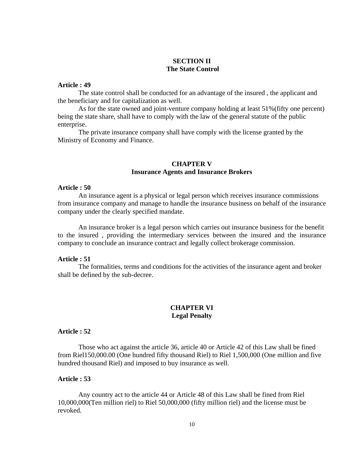# **SECTION II The State Control**

## **Article : 49**

The state control shall be conducted for an advantage of the insured , the applicant and the beneficiary and for capitalization as well.

 As for the state owned and joint-venture company holding at least 51%(fifty one percent) being the state share, shall have to comply with the law of the general statute of the public enterprise.

The private insurance company shall have comply with the license granted by the Ministry of Economy and Finance.

## **CHAPTER V Insurance Agents and Insurance Brokers**

#### **Article : 50**

An insurance agent is a physical or legal person which receives insurance commissions from insurance company and manage to handle the insurance business on behalf of the insurance company under the clearly specified mandate.

An insurance broker is a legal person which carries out insurance business for the benefit to the insured , providing the intermediary services between the insured and the insurance company to conclude an insurance contract and legally collect brokerage commission.

#### **Article : 51**

The formalities, terms and conditions for the activities of the insurance agent and broker shall be defined by the sub-decree.

# **CHAPTER VI Legal Penalty**

## **Article : 52**

Those who act against the article 36, article 40 or Article 42 of this Law shall be fined from Riel150,000.00 (One hundred fifty thousand Riel) to Riel 1,500,000 (One million and five hundred thousand Riel) and imposed to buy insurance as well.

# **Article : 53**

Any country act to the article 44 or Article 48 of this Law shall be fined from Riel 10,000,000(Ten million riel) to Riel 50,000,000 (fifty million riel) and the license must be revoked.